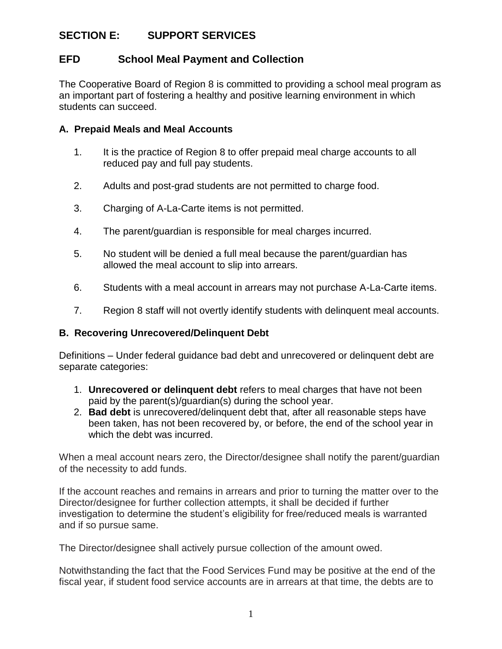## **SECTION E: SUPPORT SERVICES**

## **EFD School Meal Payment and Collection**

The Cooperative Board of Region 8 is committed to providing a school meal program as an important part of fostering a healthy and positive learning environment in which students can succeed.

## **A. Prepaid Meals and Meal Accounts**

- 1. It is the practice of Region 8 to offer prepaid meal charge accounts to all reduced pay and full pay students.
- 2. Adults and post-grad students are not permitted to charge food.
- 3. Charging of A-La-Carte items is not permitted.
- 4. The parent/guardian is responsible for meal charges incurred.
- 5. No student will be denied a full meal because the parent/guardian has allowed the meal account to slip into arrears.
- 6. Students with a meal account in arrears may not purchase A-La-Carte items.
- 7. Region 8 staff will not overtly identify students with delinquent meal accounts.

## **B. Recovering Unrecovered/Delinquent Debt**

Definitions – Under federal guidance bad debt and unrecovered or delinquent debt are separate categories:

- 1. **Unrecovered or delinquent debt** refers to meal charges that have not been paid by the parent(s)/guardian(s) during the school year.
- 2. **Bad debt** is unrecovered/delinquent debt that, after all reasonable steps have been taken, has not been recovered by, or before, the end of the school year in which the debt was incurred.

When a meal account nears zero, the Director/designee shall notify the parent/guardian of the necessity to add funds.

If the account reaches and remains in arrears and prior to turning the matter over to the Director/designee for further collection attempts, it shall be decided if further investigation to determine the student's eligibility for free/reduced meals is warranted and if so pursue same.

The Director/designee shall actively pursue collection of the amount owed.

Notwithstanding the fact that the Food Services Fund may be positive at the end of the fiscal year, if student food service accounts are in arrears at that time, the debts are to